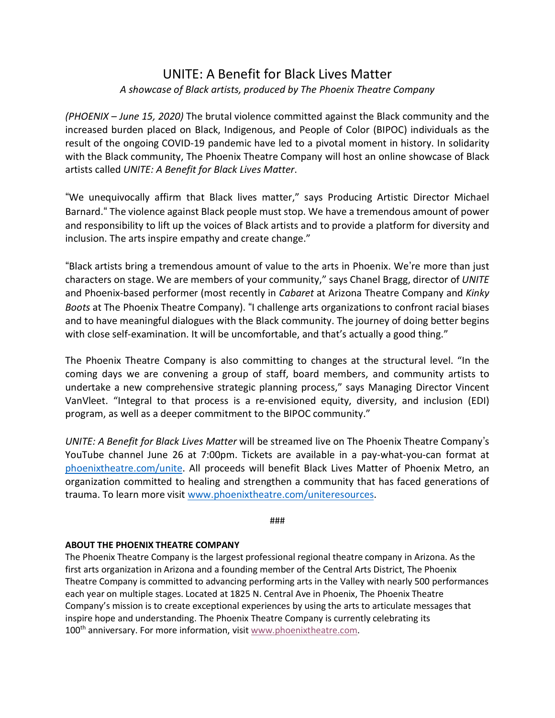## UNITE: A Benefit for Black Lives Matter *A showcase of Black artists, produced by The Phoenix Theatre Company*

*(PHOENIX – June 15, 2020)* The brutal violence committed against the Black community and the increased burden placed on Black, Indigenous, and People of Color (BIPOC) individuals as the result of the ongoing COVID-19 pandemic have led to a pivotal moment in history. In solidarity with the Black community, The Phoenix Theatre Company will host an online showcase of Black artists called *UNITE: A Benefit for Black Lives Matter*.

"We unequivocally affirm that Black lives matter," says Producing Artistic Director Michael Barnard." The violence against Black people must stop. We have a tremendous amount of power and responsibility to lift up the voices of Black artists and to provide a platform for diversity and inclusion. The arts inspire empathy and create change."

"Black artists bring a tremendous amount of value to the arts in Phoenix. We're more than just characters on stage. We are members of your community," says Chanel Bragg, director of *UNITE* and Phoenix-based performer (most recently in *Cabaret* at Arizona Theatre Company and *Kinky Boots* at The Phoenix Theatre Company). "I challenge arts organizations to confront racial biases and to have meaningful dialogues with the Black community. The journey of doing better begins with close self-examination. It will be uncomfortable, and that's actually a good thing."

The Phoenix Theatre Company is also committing to changes at the structural level. "In the coming days we are convening a group of staff, board members, and community artists to undertake a new comprehensive strategic planning process," says Managing Director Vincent VanVleet. "Integral to that process is a re-envisioned equity, diversity, and inclusion (EDI) program, as well as a deeper commitment to the BIPOC community."

*UNITE: A Benefit for Black Lives Matter* will be streamed live on The Phoenix Theatre Company's YouTube channel June 26 at 7:00pm. Tickets are available in a pay-what-you-can format at phoenixtheatre.com/unite. All proceeds will benefit Black Lives Matter of Phoenix Metro, an organization committed to healing and strengthen a community that has faced generations of trauma. To learn more visit www.phoenixtheatre.com/uniteresources.

###

## **ABOUT THE PHOENIX THEATRE COMPANY**

The Phoenix Theatre Company is the largest professional regional theatre company in Arizona. As the first arts organization in Arizona and a founding member of the Central Arts District, The Phoenix Theatre Company is committed to advancing performing arts in the Valley with nearly 500 performances each year on multiple stages. Located at 1825 N. Central Ave in Phoenix, The Phoenix Theatre Company's mission is to create exceptional experiences by using the arts to articulate messages that inspire hope and understanding. The Phoenix Theatre Company is currently celebrating its 100<sup>th</sup> anniversary. For more information, visit www.phoenixtheatre.com.